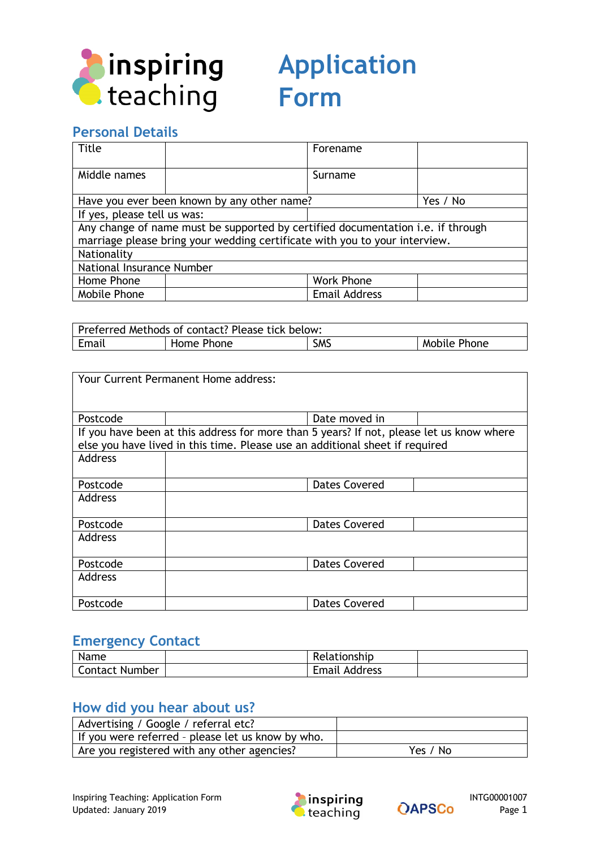

# **Application Form**

# **Personal Details**

| <b>Title</b>                                                                                                                                                  |                                             | Forename             |          |
|---------------------------------------------------------------------------------------------------------------------------------------------------------------|---------------------------------------------|----------------------|----------|
| Middle names                                                                                                                                                  |                                             | Surname              |          |
|                                                                                                                                                               | Have you ever been known by any other name? |                      | Yes / No |
| If yes, please tell us was:                                                                                                                                   |                                             |                      |          |
| Any change of name must be supported by certified documentation i.e. if through<br>marriage please bring your wedding certificate with you to your interview. |                                             |                      |          |
| Nationality                                                                                                                                                   |                                             |                      |          |
| National Insurance Number                                                                                                                                     |                                             |                      |          |
| Home Phone                                                                                                                                                    |                                             | <b>Work Phone</b>    |          |
| Mobile Phone                                                                                                                                                  |                                             | <b>Email Address</b> |          |

| Preferred Methods of contact? Please tick below: |            |            |              |
|--------------------------------------------------|------------|------------|--------------|
| Email                                            | Home Phone | <b>SMS</b> | Mobile Phone |

| Your Current Permanent Home address: |                                                                                                                                                                          |                      |  |
|--------------------------------------|--------------------------------------------------------------------------------------------------------------------------------------------------------------------------|----------------------|--|
| Postcode                             |                                                                                                                                                                          | Date moved in        |  |
|                                      | If you have been at this address for more than 5 years? If not, please let us know where<br>else you have lived in this time. Please use an additional sheet if required |                      |  |
| Address                              |                                                                                                                                                                          |                      |  |
| Postcode                             |                                                                                                                                                                          | <b>Dates Covered</b> |  |
| Address                              |                                                                                                                                                                          |                      |  |
| Postcode                             |                                                                                                                                                                          | <b>Dates Covered</b> |  |
| Address                              |                                                                                                                                                                          |                      |  |
| Postcode                             |                                                                                                                                                                          | <b>Dates Covered</b> |  |
| Address                              |                                                                                                                                                                          |                      |  |
| Postcode                             |                                                                                                                                                                          | Dates Covered        |  |

#### **Emergency Contact**

| Name                  | Relationship         |  |
|-----------------------|----------------------|--|
| <b>Contact Number</b> | <b>Email Address</b> |  |

### **How did you hear about us?**

| Advertising / Google / referral etc?              |          |
|---------------------------------------------------|----------|
| If you were referred - please let us know by who. |          |
| Are you registered with any other agencies?       | Yes / No |



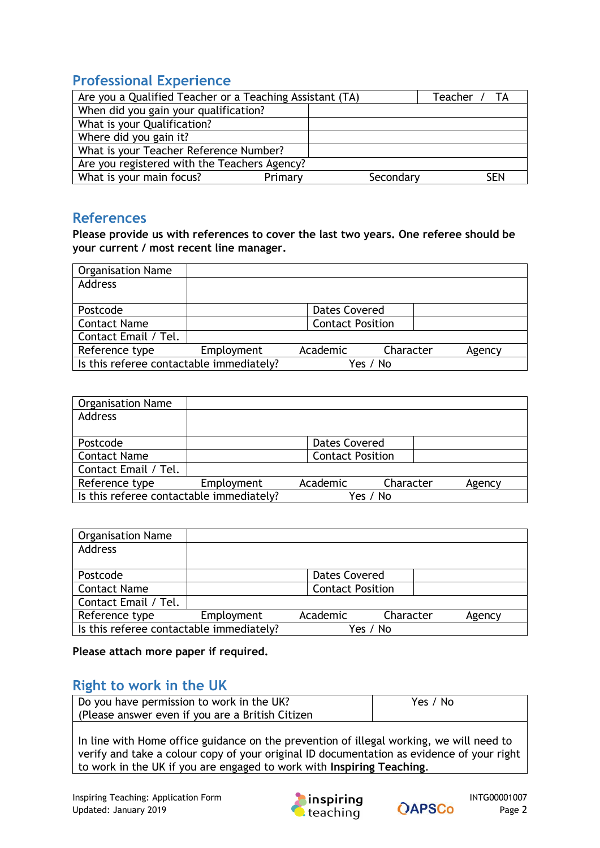# **Professional Experience**

|                                              | Are you a Qualified Teacher or a Teaching Assistant (TA) |           | Teacher / TA |
|----------------------------------------------|----------------------------------------------------------|-----------|--------------|
| When did you gain your qualification?        |                                                          |           |              |
| What is your Qualification?                  |                                                          |           |              |
| Where did you gain it?                       |                                                          |           |              |
| What is your Teacher Reference Number?       |                                                          |           |              |
| Are you registered with the Teachers Agency? |                                                          |           |              |
| What is your main focus?                     | Primary                                                  | Secondary | <b>SEN</b>   |

#### **References**

**Please provide us with references to cover the last two years. One referee should be your current / most recent line manager.**

| <b>Organisation Name</b>                 |            |                         |           |        |
|------------------------------------------|------------|-------------------------|-----------|--------|
| <b>Address</b>                           |            |                         |           |        |
|                                          |            |                         |           |        |
| Postcode                                 |            | Dates Covered           |           |        |
| <b>Contact Name</b>                      |            | <b>Contact Position</b> |           |        |
| Contact Email / Tel.                     |            |                         |           |        |
| Reference type                           | Employment | Academic                | Character | Agency |
| Is this referee contactable immediately? |            |                         | Yes / No  |        |

| <b>Organisation Name</b>                 |            |                         |           |        |
|------------------------------------------|------------|-------------------------|-----------|--------|
| <b>Address</b>                           |            |                         |           |        |
|                                          |            |                         |           |        |
| Postcode                                 |            | <b>Dates Covered</b>    |           |        |
| <b>Contact Name</b>                      |            | <b>Contact Position</b> |           |        |
| Contact Email / Tel.                     |            |                         |           |        |
| Reference type                           | Employment | Academic                | Character | Agency |
| Is this referee contactable immediately? |            |                         | Yes / No  |        |

| <b>Organisation Name</b>                 |            |                         |           |        |
|------------------------------------------|------------|-------------------------|-----------|--------|
| <b>Address</b>                           |            |                         |           |        |
|                                          |            |                         |           |        |
| Postcode                                 |            | <b>Dates Covered</b>    |           |        |
| <b>Contact Name</b>                      |            | <b>Contact Position</b> |           |        |
| Contact Email / Tel.                     |            |                         |           |        |
| Reference type                           | Employment | Academic                | Character | Agency |
| Is this referee contactable immediately? |            |                         | Yes / No  |        |

**Please attach more paper if required.**

#### **Right to work in the UK**

| Do you have permission to work in the UK?         | Yes / No |
|---------------------------------------------------|----------|
| (Please answer even if you are a British Citizen) |          |
|                                                   |          |

In line with Home office guidance on the prevention of illegal working, we will need to verify and take a colour copy of your original ID documentation as evidence of your right to work in the UK if you are engaged to work with **Inspiring Teaching**.



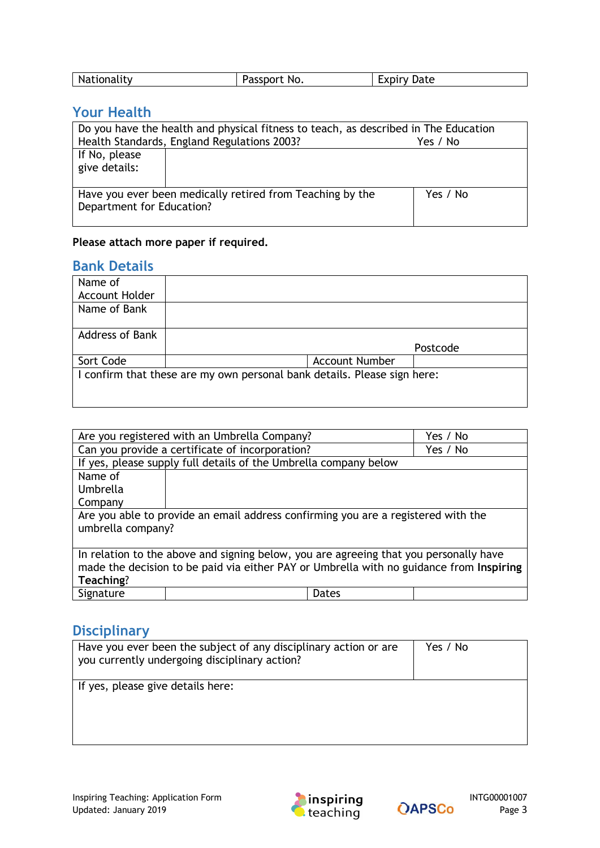| Nationality<br>passport No.<br>Date<br>a communication of the communication of the communication of the communication of the communication of the communication of the communication of the communication of the communication of the communication of the communicat |  |
|-----------------------------------------------------------------------------------------------------------------------------------------------------------------------------------------------------------------------------------------------------------------------|--|
|-----------------------------------------------------------------------------------------------------------------------------------------------------------------------------------------------------------------------------------------------------------------------|--|

## **Your Health**

| Do you have the health and physical fitness to teach, as described in The Education |                                             |          |  |  |
|-------------------------------------------------------------------------------------|---------------------------------------------|----------|--|--|
|                                                                                     | Health Standards, England Regulations 2003? | Yes / No |  |  |
| If No, please                                                                       |                                             |          |  |  |
| give details:                                                                       |                                             |          |  |  |
|                                                                                     |                                             |          |  |  |
| Have you ever been medically retired from Teaching by the<br>Yes / No               |                                             |          |  |  |
| Department for Education?                                                           |                                             |          |  |  |
|                                                                                     |                                             |          |  |  |

#### **Please attach more paper if required.**

#### **Bank Details**

| Name of                |                                                                          |          |
|------------------------|--------------------------------------------------------------------------|----------|
| Account Holder         |                                                                          |          |
| Name of Bank           |                                                                          |          |
|                        |                                                                          |          |
| <b>Address of Bank</b> |                                                                          |          |
|                        |                                                                          | Postcode |
| Sort Code              | <b>Account Number</b>                                                    |          |
|                        | I confirm that these are my own personal bank details. Please sign here: |          |
|                        |                                                                          |          |
|                        |                                                                          |          |

|                                                                                         | Are you registered with an Umbrella Company?                |       | Yes / No |
|-----------------------------------------------------------------------------------------|-------------------------------------------------------------|-------|----------|
|                                                                                         | Can you provide a certificate of incorporation?<br>Yes / No |       |          |
| If yes, please supply full details of the Umbrella company below                        |                                                             |       |          |
| Name of                                                                                 |                                                             |       |          |
| Umbrella                                                                                |                                                             |       |          |
| Company                                                                                 |                                                             |       |          |
| Are you able to provide an email address confirming you are a registered with the       |                                                             |       |          |
| umbrella company?                                                                       |                                                             |       |          |
|                                                                                         |                                                             |       |          |
| In relation to the above and signing below, you are agreeing that you personally have   |                                                             |       |          |
| made the decision to be paid via either PAY or Umbrella with no guidance from Inspiring |                                                             |       |          |
| Teaching?                                                                               |                                                             |       |          |
| Signature                                                                               |                                                             | Dates |          |

# **Disciplinary**

| Have you ever been the subject of any disciplinary action or are<br>you currently undergoing disciplinary action? | Yes / No |
|-------------------------------------------------------------------------------------------------------------------|----------|
| If yes, please give details here:                                                                                 |          |



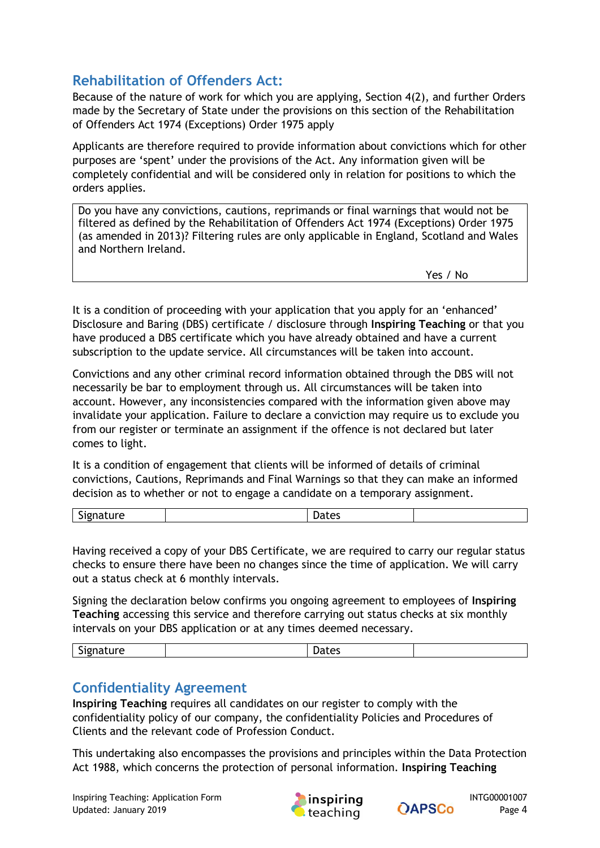# **Rehabilitation of Offenders Act:**

Because of the nature of work for which you are applying, Section 4(2), and further Orders made by the Secretary of State under the provisions on this section of the Rehabilitation of Offenders Act 1974 (Exceptions) Order 1975 apply

Applicants are therefore required to provide information about convictions which for other purposes are 'spent' under the provisions of the Act. Any information given will be completely confidential and will be considered only in relation for positions to which the orders applies.

Do you have any convictions, cautions, reprimands or final warnings that would not be filtered as defined by the Rehabilitation of Offenders Act 1974 (Exceptions) Order 1975 (as amended in 2013)? Filtering rules are only applicable in England, Scotland and Wales and Northern Ireland.

Yes / No

It is a condition of proceeding with your application that you apply for an 'enhanced' Disclosure and Baring (DBS) certificate / disclosure through **Inspiring Teaching** or that you have produced a DBS certificate which you have already obtained and have a current subscription to the update service. All circumstances will be taken into account.

Convictions and any other criminal record information obtained through the DBS will not necessarily be bar to employment through us. All circumstances will be taken into account. However, any inconsistencies compared with the information given above may invalidate your application. Failure to declare a conviction may require us to exclude you from our register or terminate an assignment if the offence is not declared but later comes to light.

It is a condition of engagement that clients will be informed of details of criminal convictions, Cautions, Reprimands and Final Warnings so that they can make an informed decision as to whether or not to engage a candidate on a temporary assignment.

| . . |  |  |
|-----|--|--|
|     |  |  |

Having received a copy of your DBS Certificate, we are required to carry our regular status checks to ensure there have been no changes since the time of application. We will carry out a status check at 6 monthly intervals.

Signing the declaration below confirms you ongoing agreement to employees of **Inspiring Teaching** accessing this service and therefore carrying out status checks at six monthly intervals on your DBS application or at any times deemed necessary.

| ∽<br>יו י<br>- | . . |  |
|----------------|-----|--|
|                |     |  |

## **Confidentiality Agreement**

**Inspiring Teaching** requires all candidates on our register to comply with the confidentiality policy of our company, the confidentiality Policies and Procedures of Clients and the relevant code of Profession Conduct.

This undertaking also encompasses the provisions and principles within the Data Protection Act 1988, which concerns the protection of personal information. **Inspiring Teaching**



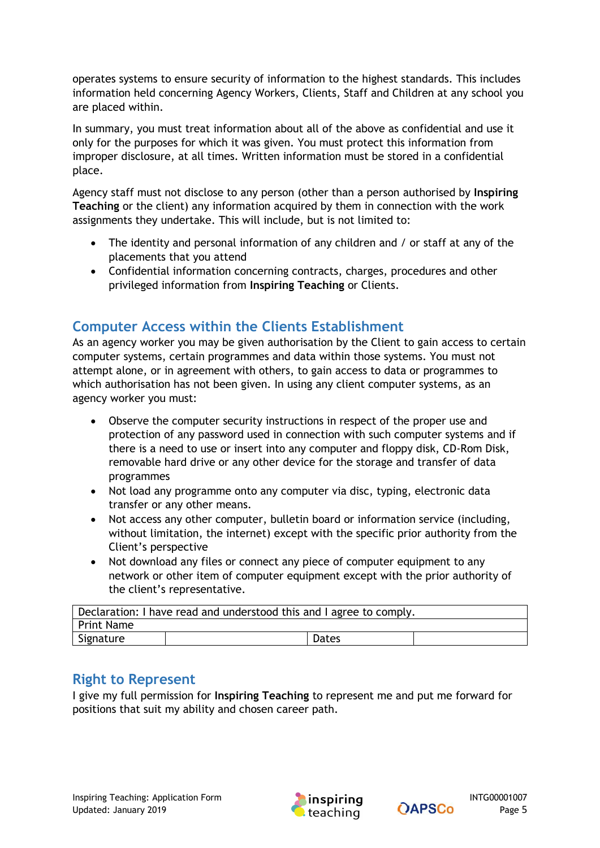operates systems to ensure security of information to the highest standards. This includes information held concerning Agency Workers, Clients, Staff and Children at any school you are placed within.

In summary, you must treat information about all of the above as confidential and use it only for the purposes for which it was given. You must protect this information from improper disclosure, at all times. Written information must be stored in a confidential place.

Agency staff must not disclose to any person (other than a person authorised by **Inspiring Teaching** or the client) any information acquired by them in connection with the work assignments they undertake. This will include, but is not limited to:

- The identity and personal information of any children and / or staff at any of the placements that you attend
- Confidential information concerning contracts, charges, procedures and other privileged information from **Inspiring Teaching** or Clients.

# **Computer Access within the Clients Establishment**

As an agency worker you may be given authorisation by the Client to gain access to certain computer systems, certain programmes and data within those systems. You must not attempt alone, or in agreement with others, to gain access to data or programmes to which authorisation has not been given. In using any client computer systems, as an agency worker you must:

- Observe the computer security instructions in respect of the proper use and protection of any password used in connection with such computer systems and if there is a need to use or insert into any computer and floppy disk, CD-Rom Disk, removable hard drive or any other device for the storage and transfer of data programmes
- Not load any programme onto any computer via disc, typing, electronic data transfer or any other means.
- Not access any other computer, bulletin board or information service (including, without limitation, the internet) except with the specific prior authority from the Client's perspective
- Not download any files or connect any piece of computer equipment to any network or other item of computer equipment except with the prior authority of the client's representative.

| Declaration: I have read and understood this and I agree to comply. |  |       |  |
|---------------------------------------------------------------------|--|-------|--|
| Print Name                                                          |  |       |  |
| Signature                                                           |  | Dates |  |

## **Right to Represent**

I give my full permission for **Inspiring Teaching** to represent me and put me forward for positions that suit my ability and chosen career path.



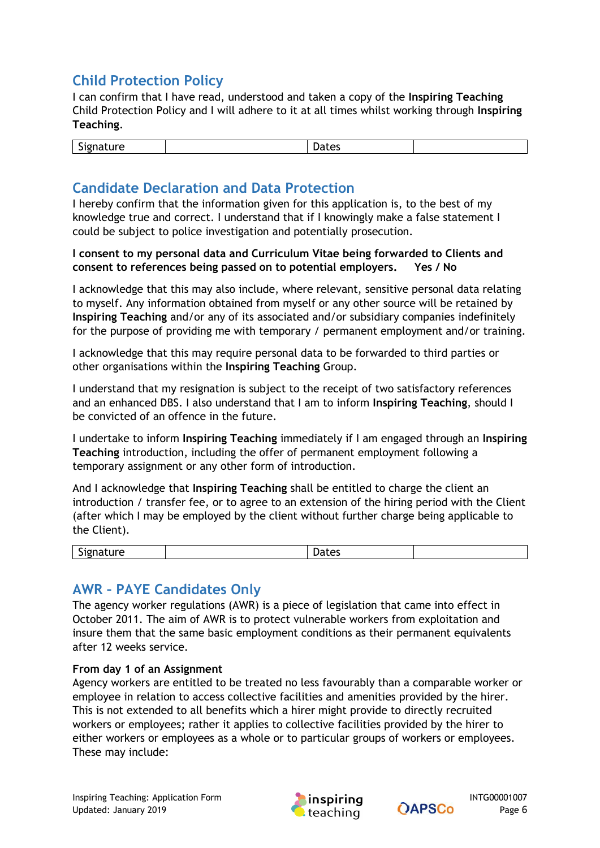# **Child Protection Policy**

I can confirm that I have read, understood and taken a copy of the **Inspiring Teaching** Child Protection Policy and I will adhere to it at all times whilst working through **Inspiring Teaching**.

| $\sim$<br>----<br>ucco |
|------------------------|
|------------------------|

## **Candidate Declaration and Data Protection**

I hereby confirm that the information given for this application is, to the best of my knowledge true and correct. I understand that if I knowingly make a false statement I could be subject to police investigation and potentially prosecution.

**I consent to my personal data and Curriculum Vitae being forwarded to Clients and consent to references being passed on to potential employers. Yes / No**

I acknowledge that this may also include, where relevant, sensitive personal data relating to myself. Any information obtained from myself or any other source will be retained by **Inspiring Teaching** and/or any of its associated and/or subsidiary companies indefinitely for the purpose of providing me with temporary / permanent employment and/or training.

I acknowledge that this may require personal data to be forwarded to third parties or other organisations within the **Inspiring Teaching** Group.

I understand that my resignation is subject to the receipt of two satisfactory references and an enhanced DBS. I also understand that I am to inform **Inspiring Teaching**, should I be convicted of an offence in the future.

I undertake to inform **Inspiring Teaching** immediately if I am engaged through an **Inspiring Teaching** introduction, including the offer of permanent employment following a temporary assignment or any other form of introduction.

And I acknowledge that **Inspiring Teaching** shall be entitled to charge the client an introduction / transfer fee, or to agree to an extension of the hiring period with the Client (after which I may be employed by the client without further charge being applicable to the Client).

| $\overline{\phantom{a}}$ |    |  |  |
|--------------------------|----|--|--|
|                          | າເ |  |  |

## **AWR – PAYE Candidates Only**

The agency worker regulations (AWR) is a piece of legislation that came into effect in October 2011. The aim of AWR is to protect vulnerable workers from exploitation and insure them that the same basic employment conditions as their permanent equivalents after 12 weeks service.

#### **From day 1 of an Assignment**

Agency workers are entitled to be treated no less favourably than a comparable worker or employee in relation to access collective facilities and amenities provided by the hirer. This is not extended to all benefits which a hirer might provide to directly recruited workers or employees; rather it applies to collective facilities provided by the hirer to either workers or employees as a whole or to particular groups of workers or employees. These may include: